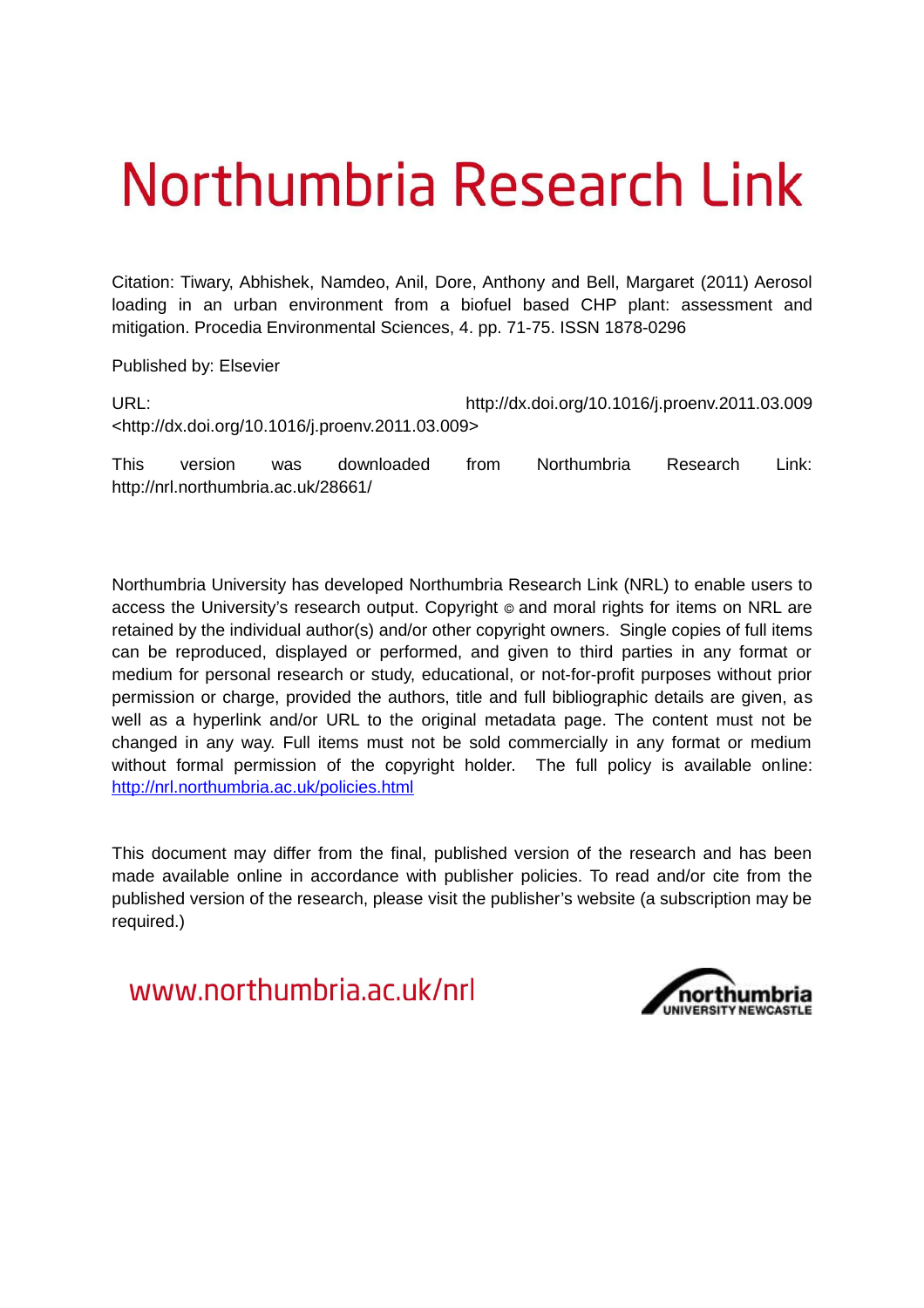# Northumbria Research Link

Citation: Tiwary, Abhishek, Namdeo, Anil, Dore, Anthony and Bell, Margaret (2011) Aerosol loading in an urban environment from a biofuel based CHP plant: assessment and mitigation. Procedia Environmental Sciences, 4. pp. 71-75. ISSN 1878-0296

Published by: Elsevier

URL: http://dx.doi.org/10.1016/j.proenv.2011.03.009 <http://dx.doi.org/10.1016/j.proenv.2011.03.009>

This version was downloaded from Northumbria Research Link: http://nrl.northumbria.ac.uk/28661/

Northumbria University has developed Northumbria Research Link (NRL) to enable users to access the University's research output. Copyright  $\circ$  and moral rights for items on NRL are retained by the individual author(s) and/or other copyright owners. Single copies of full items can be reproduced, displayed or performed, and given to third parties in any format or medium for personal research or study, educational, or not-for-profit purposes without prior permission or charge, provided the authors, title and full bibliographic details are given, as well as a hyperlink and/or URL to the original metadata page. The content must not be changed in any way. Full items must not be sold commercially in any format or medium without formal permission of the copyright holder. The full policy is available online: <http://nrl.northumbria.ac.uk/policies.html>

This document may differ from the final, published version of the research and has been made available online in accordance with publisher policies. To read and/or cite from the published version of the research, please visit the publisher's website (a subscription may be required.)

www.northumbria.ac.uk/nrl

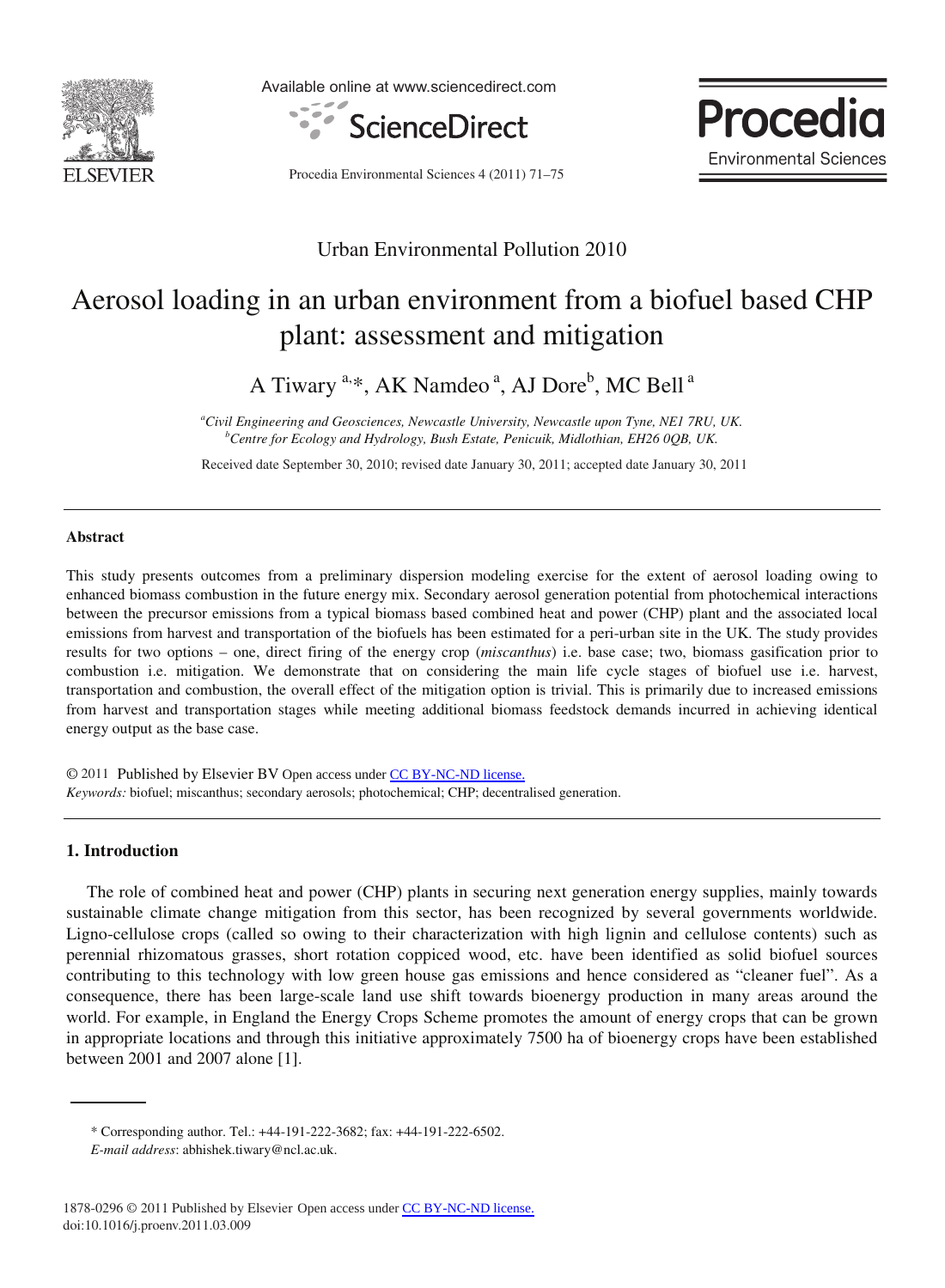

Available online at www.sciencedirect.com



Procedia Environmental Sciences 4 (2011) 71–75



### Urban Environmental Pollution 2010

## Aerosol loading in an urban environment from a biofuel based CHP plant: assessment and mitigation

A Tiwary <sup>a,\*</sup>, AK Namdeo<sup>a</sup>, AJ Dore<sup>b</sup>, MC Bell<sup>a</sup>

*<sup>a</sup>Civil Engineering and Geosciences, Newcastle University, Newcastle upon Tyne, NE1 7RU, UK. <sup>b</sup>Centre for Ecology and Hydrology, Bush Estate, Penicuik, Midlothian, EH26 0QB, UK.* 

 Received date September 30, 2010; revised date January 30, 2011; accepted date January 30, 2011

#### **Abstract**

This study presents outcomes from a preliminary dispersion modeling exercise for the extent of aerosol loading owing to enhanced biomass combustion in the future energy mix. Secondary aerosol generation potential from photochemical interactions between the precursor emissions from a typical biomass based combined heat and power (CHP) plant and the associated local emissions from harvest and transportation of the biofuels has been estimated for a peri-urban site in the UK. The study provides results for two options – one, direct firing of the energy crop (*miscanthus*) i.e. base case; two, biomass gasification prior to combustion i.e. mitigation. We demonstrate that on considering the main life cycle stages of biofuel use i.e. harvest, transportation and combustion, the overall effect of the mitigation option is trivial. This is primarily due to increased emissions from harvest and transportation stages while meeting additional biomass feedstock demands incurred in achieving identical energy output as the base case.

© 2011 Published by Elsevier BV Open access under [CC BY-NC-ND license.](http://creativecommons.org/licenses/by-nc-nd/3.0/) *Keywords:* biofuel; miscanthus; secondary aerosols; photochemical; CHP; decentralised generation.

#### **1. Introduction**

The role of combined heat and power (CHP) plants in securing next generation energy supplies, mainly towards sustainable climate change mitigation from this sector, has been recognized by several governments worldwide. Ligno-cellulose crops (called so owing to their characterization with high lignin and cellulose contents) such as perennial rhizomatous grasses, short rotation coppiced wood, etc. have been identified as solid biofuel sources contributing to this technology with low green house gas emissions and hence considered as "cleaner fuel". As a consequence, there has been large-scale land use shift towards bioenergy production in many areas around the world. For example, in England the Energy Crops Scheme promotes the amount of energy crops that can be grown in appropriate locations and through this initiative approximately 7500 ha of bioenergy crops have been established between 2001 and 2007 alone [1].

<sup>\*</sup> Corresponding author. Tel.: +44-191-222-3682; fax: +44-191-222-6502.

*E-mail address*: abhishek.tiwary@ncl.ac.uk.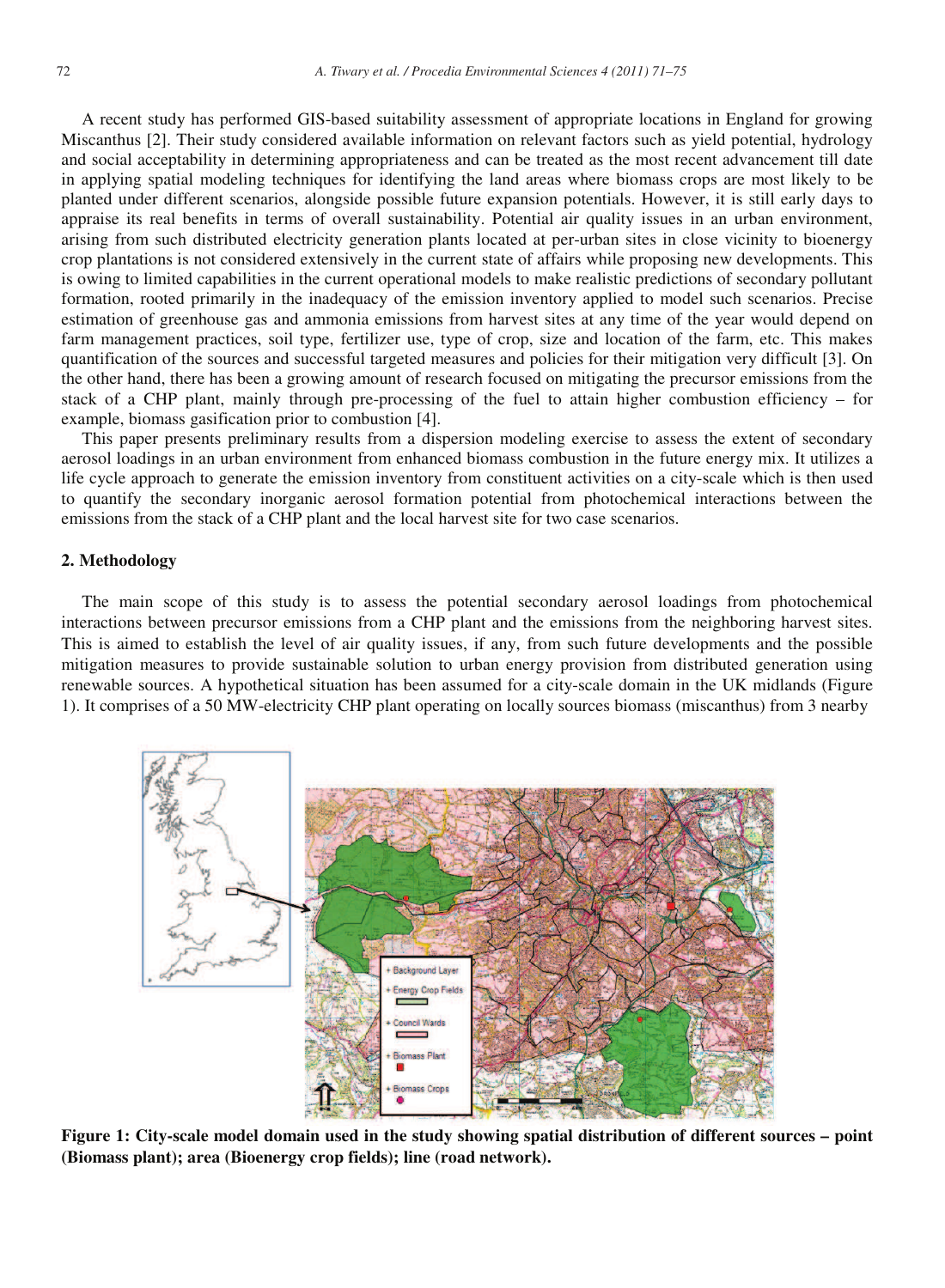A recent study has performed GIS-based suitability assessment of appropriate locations in England for growing Miscanthus [2]. Their study considered available information on relevant factors such as yield potential, hydrology and social acceptability in determining appropriateness and can be treated as the most recent advancement till date in applying spatial modeling techniques for identifying the land areas where biomass crops are most likely to be planted under different scenarios, alongside possible future expansion potentials. However, it is still early days to appraise its real benefits in terms of overall sustainability. Potential air quality issues in an urban environment, arising from such distributed electricity generation plants located at per-urban sites in close vicinity to bioenergy crop plantations is not considered extensively in the current state of affairs while proposing new developments. This is owing to limited capabilities in the current operational models to make realistic predictions of secondary pollutant formation, rooted primarily in the inadequacy of the emission inventory applied to model such scenarios. Precise estimation of greenhouse gas and ammonia emissions from harvest sites at any time of the year would depend on farm management practices, soil type, fertilizer use, type of crop, size and location of the farm, etc. This makes quantification of the sources and successful targeted measures and policies for their mitigation very difficult [3]. On the other hand, there has been a growing amount of research focused on mitigating the precursor emissions from the stack of a CHP plant, mainly through pre-processing of the fuel to attain higher combustion efficiency – for example, biomass gasification prior to combustion [4].

This paper presents preliminary results from a dispersion modeling exercise to assess the extent of secondary aerosol loadings in an urban environment from enhanced biomass combustion in the future energy mix. It utilizes a life cycle approach to generate the emission inventory from constituent activities on a city-scale which is then used to quantify the secondary inorganic aerosol formation potential from photochemical interactions between the emissions from the stack of a CHP plant and the local harvest site for two case scenarios.

#### **2. Methodology**

The main scope of this study is to assess the potential secondary aerosol loadings from photochemical interactions between precursor emissions from a CHP plant and the emissions from the neighboring harvest sites. This is aimed to establish the level of air quality issues, if any, from such future developments and the possible mitigation measures to provide sustainable solution to urban energy provision from distributed generation using renewable sources. A hypothetical situation has been assumed for a city-scale domain in the UK midlands (Figure 1). It comprises of a 50 MW-electricity CHP plant operating on locally sources biomass (miscanthus) from 3 nearby



**Figure 1: City-scale model domain used in the study showing spatial distribution of different sources – point (Biomass plant); area (Bioenergy crop fields); line (road network).**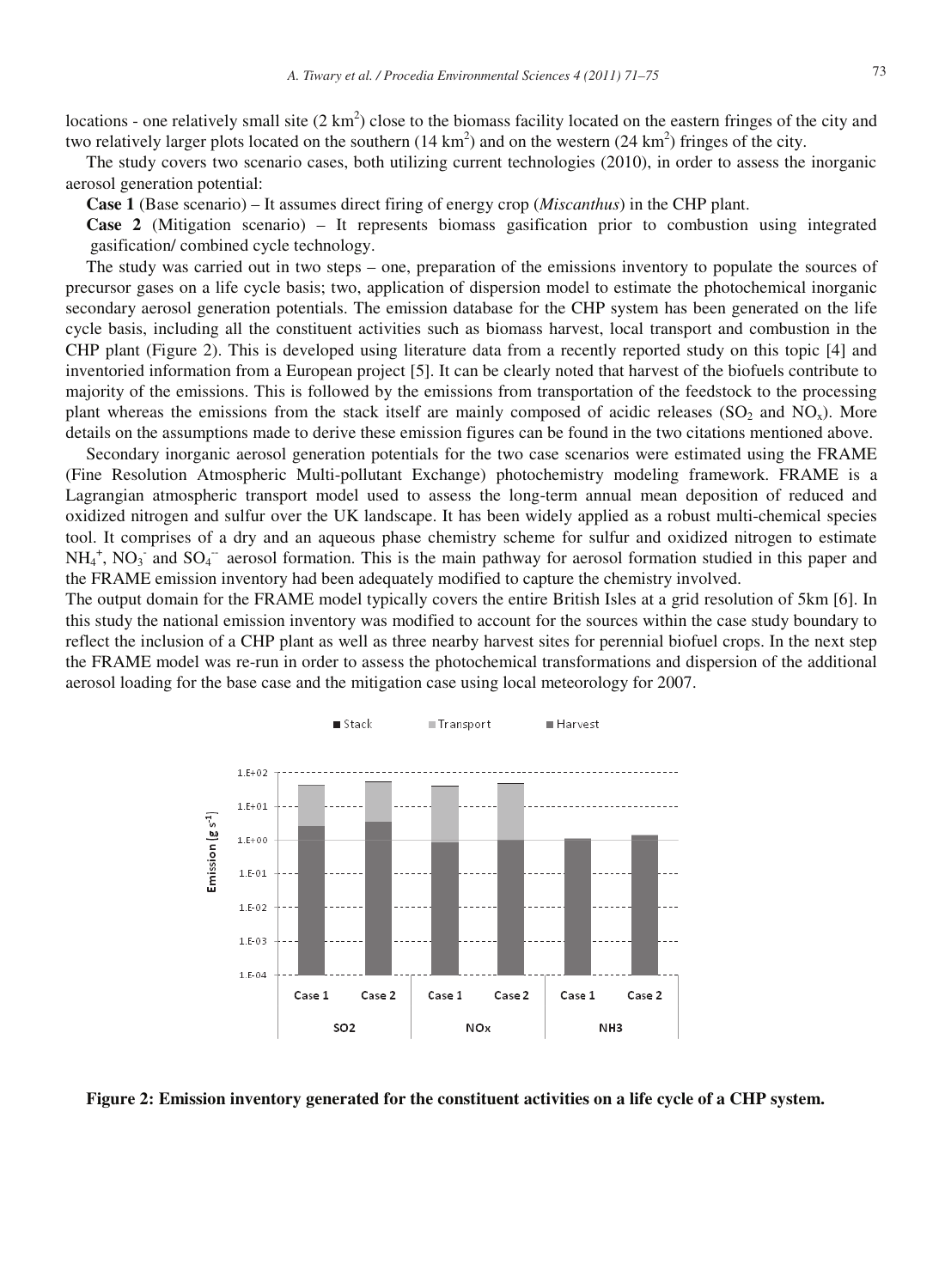locations - one relatively small site  $(2 \text{ km}^2)$  close to the biomass facility located on the eastern fringes of the city and two relatively larger plots located on the southern  $(14 \text{ km}^2)$  and on the western  $(24 \text{ km}^2)$  fringes of the city.

The study covers two scenario cases, both utilizing current technologies (2010), in order to assess the inorganic aerosol generation potential:

**Case 1** (Base scenario) – It assumes direct firing of energy crop (*Miscanthus*) in the CHP plant.

**Case 2** (Mitigation scenario) – It represents biomass gasification prior to combustion using integrated gasification/ combined cycle technology.

The study was carried out in two steps – one, preparation of the emissions inventory to populate the sources of precursor gases on a life cycle basis; two, application of dispersion model to estimate the photochemical inorganic secondary aerosol generation potentials. The emission database for the CHP system has been generated on the life cycle basis, including all the constituent activities such as biomass harvest, local transport and combustion in the CHP plant (Figure 2). This is developed using literature data from a recently reported study on this topic [4] and inventoried information from a European project [5]. It can be clearly noted that harvest of the biofuels contribute to majority of the emissions. This is followed by the emissions from transportation of the feedstock to the processing plant whereas the emissions from the stack itself are mainly composed of acidic releases ( $SO_2$  and  $NO_x$ ). More details on the assumptions made to derive these emission figures can be found in the two citations mentioned above.

Secondary inorganic aerosol generation potentials for the two case scenarios were estimated using the FRAME (Fine Resolution Atmospheric Multi-pollutant Exchange) photochemistry modeling framework. FRAME is a Lagrangian atmospheric transport model used to assess the long-term annual mean deposition of reduced and oxidized nitrogen and sulfur over the UK landscape. It has been widely applied as a robust multi-chemical species tool. It comprises of a dry and an aqueous phase chemistry scheme for sulfur and oxidized nitrogen to estimate  $NH_4^+$ ,  $NO_3^-$  and  $SO_4^-$  aerosol formation. This is the main pathway for aerosol formation studied in this paper and the FRAME emission inventory had been adequately modified to capture the chemistry involved.

The output domain for the FRAME model typically covers the entire British Isles at a grid resolution of 5km [6]. In this study the national emission inventory was modified to account for the sources within the case study boundary to reflect the inclusion of a CHP plant as well as three nearby harvest sites for perennial biofuel crops. In the next step the FRAME model was re-run in order to assess the photochemical transformations and dispersion of the additional aerosol loading for the base case and the mitigation case using local meteorology for 2007.



**Figure 2: Emission inventory generated for the constituent activities on a life cycle of a CHP system.**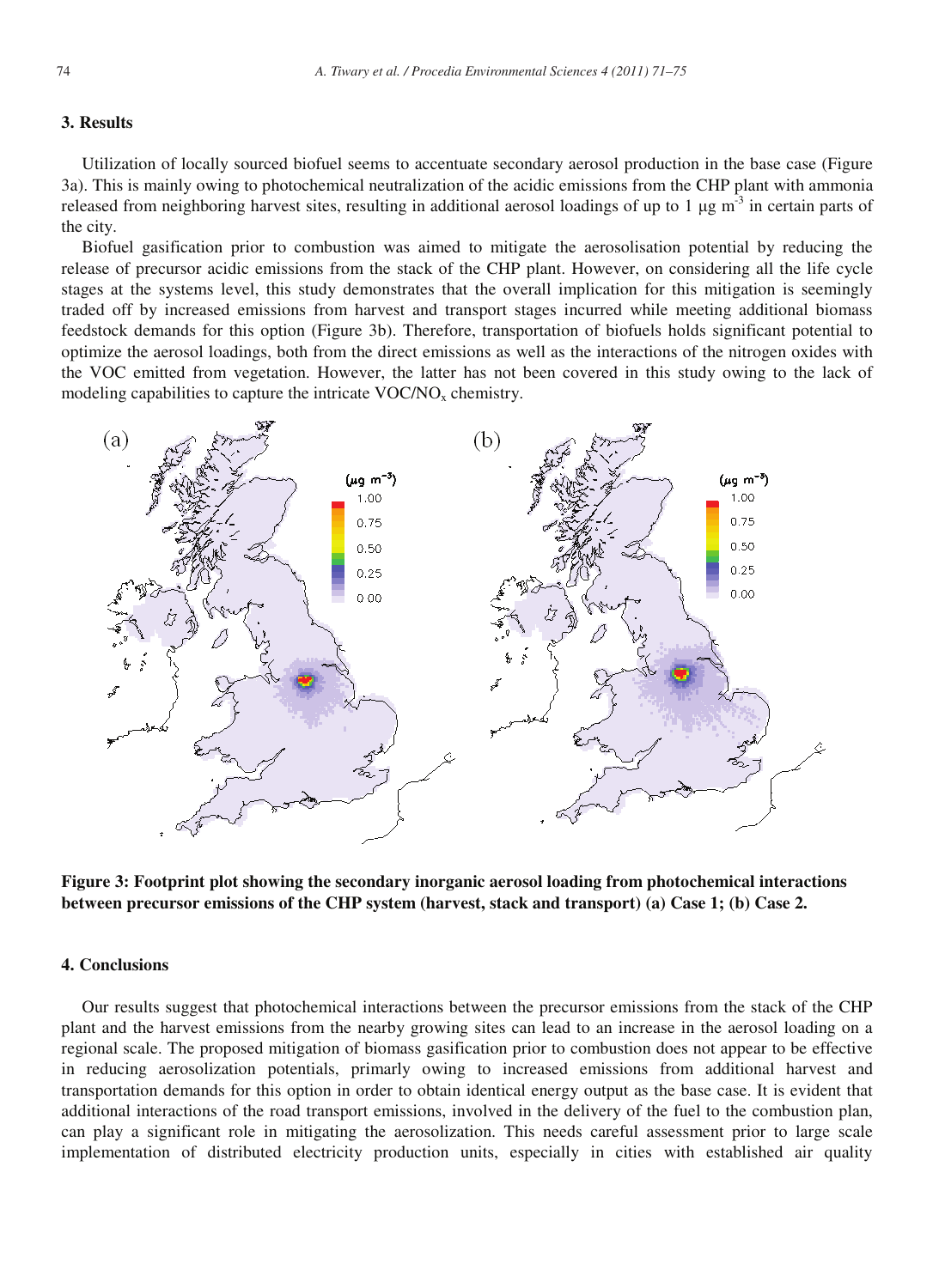#### **3. Results**

Utilization of locally sourced biofuel seems to accentuate secondary aerosol production in the base case (Figure 3a). This is mainly owing to photochemical neutralization of the acidic emissions from the CHP plant with ammonia released from neighboring harvest sites, resulting in additional aerosol loadings of up to 1  $\mu$ g m<sup>-3</sup> in certain parts of the city.

Biofuel gasification prior to combustion was aimed to mitigate the aerosolisation potential by reducing the release of precursor acidic emissions from the stack of the CHP plant. However, on considering all the life cycle stages at the systems level, this study demonstrates that the overall implication for this mitigation is seemingly traded off by increased emissions from harvest and transport stages incurred while meeting additional biomass feedstock demands for this option (Figure 3b). Therefore, transportation of biofuels holds significant potential to optimize the aerosol loadings, both from the direct emissions as well as the interactions of the nitrogen oxides with the VOC emitted from vegetation. However, the latter has not been covered in this study owing to the lack of modeling capabilities to capture the intricate  $VOC/NO<sub>x</sub>$  chemistry.



**Figure 3: Footprint plot showing the secondary inorganic aerosol loading from photochemical interactions between precursor emissions of the CHP system (harvest, stack and transport) (a) Case 1; (b) Case 2.** 

#### **4. Conclusions**

Our results suggest that photochemical interactions between the precursor emissions from the stack of the CHP plant and the harvest emissions from the nearby growing sites can lead to an increase in the aerosol loading on a regional scale. The proposed mitigation of biomass gasification prior to combustion does not appear to be effective in reducing aerosolization potentials, primarly owing to increased emissions from additional harvest and transportation demands for this option in order to obtain identical energy output as the base case. It is evident that additional interactions of the road transport emissions, involved in the delivery of the fuel to the combustion plan, can play a significant role in mitigating the aerosolization. This needs careful assessment prior to large scale implementation of distributed electricity production units, especially in cities with established air quality